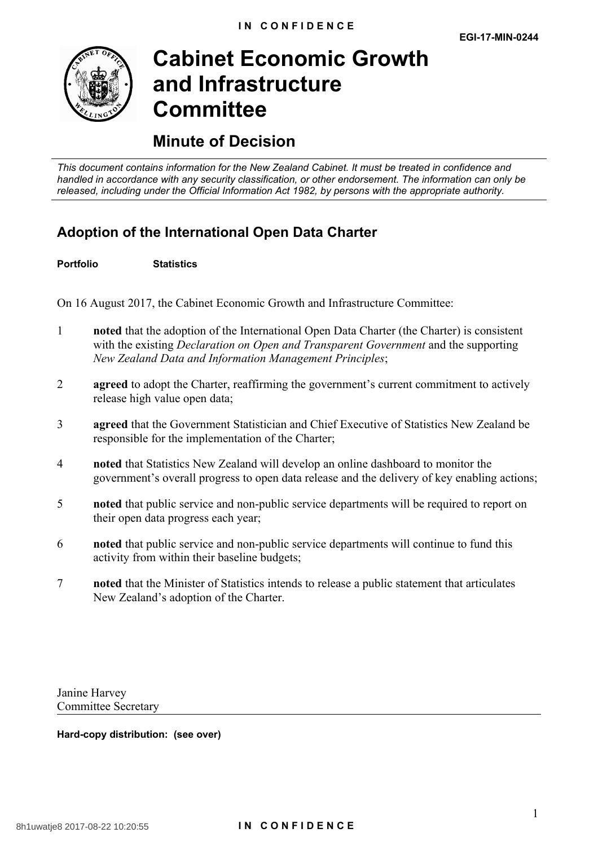

# **Cabinet Economic Growth and Infrastructure Committee**

## **Minute of Decision**

*This document contains information for the New Zealand Cabinet. It must be treated in confidence and handled in accordance with any security classification, or other endorsement. The information can only be released, including under the Official Information Act 1982, by persons with the appropriate authority.*

### **Adoption of the International Open Data Charter**

**Portfolio Statistics**

On 16 August 2017, the Cabinet Economic Growth and Infrastructure Committee:

- 1 **noted** that the adoption of the International Open Data Charter (the Charter) is consistent with the existing *Declaration on Open and Transparent Government* and the supporting *New Zealand Data and Information Management Principles*;
- 2 **agreed** to adopt the Charter, reaffirming the government's current commitment to actively release high value open data;
- 3 **agreed** that the Government Statistician and Chief Executive of Statistics New Zealand be responsible for the implementation of the Charter;
- 4 **noted** that Statistics New Zealand will develop an online dashboard to monitor the government's overall progress to open data release and the delivery of key enabling actions;
- 5 **noted** that public service and non-public service departments will be required to report on their open data progress each year;
- 6 **noted** that public service and non-public service departments will continue to fund this activity from within their baseline budgets;
- 7 **noted** that the Minister of Statistics intends to release a public statement that articulates New Zealand's adoption of the Charter.

Janine Harvey Committee Secretary

**Hard-copy distribution: (see over)**